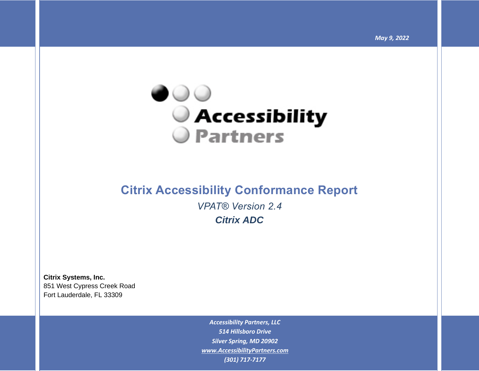

# **Citrix Accessibility Conformance Report** *VPAT® Version 2.4 Citrix ADC*

**Citrix Systems, Inc.** 851 West Cypress Creek Road Fort Lauderdale, FL 33309

> *Accessibility Partners, LLC 514 Hillsboro Drive Silver Spring, MD 20902 [www.AccessibilityPartners.com](http://www.accessibilitypartners.com/) (301) 717-7177*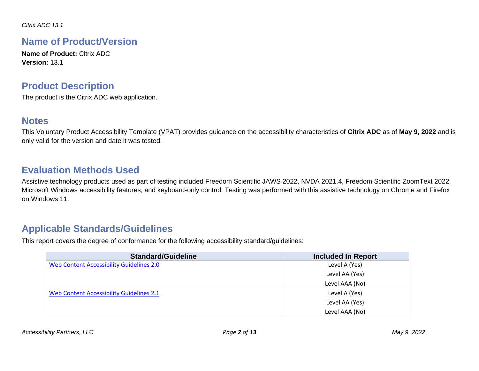### **Name of Product/Version**

**Name of Product:** Citrix ADC **Version:** 13.1

### **Product Description**

The product is the Citrix ADC web application.

### **Notes**

This Voluntary Product Accessibility Template (VPAT) provides guidance on the accessibility characteristics of **Citrix ADC** as of **May 9, 2022** and is only valid for the version and date it was tested.

## **Evaluation Methods Used**

Assistive technology products used as part of testing included Freedom Scientific JAWS 2022, NVDA 2021.4, Freedom Scientific ZoomText 2022, Microsoft Windows accessibility features, and keyboard-only control. Testing was performed with this assistive technology on Chrome and Firefox on Windows 11.

### **Applicable Standards/Guidelines**

This report covers the degree of conformance for the following accessibility standard/guidelines:

| <b>Standard/Guideline</b>                       | <b>Included In Report</b> |
|-------------------------------------------------|---------------------------|
| <b>Web Content Accessibility Guidelines 2.0</b> | Level A (Yes)             |
|                                                 | Level AA (Yes)            |
|                                                 | Level AAA (No)            |
| Web Content Accessibility Guidelines 2.1        | Level A (Yes)             |
|                                                 | Level AA (Yes)            |
|                                                 | Level AAA (No)            |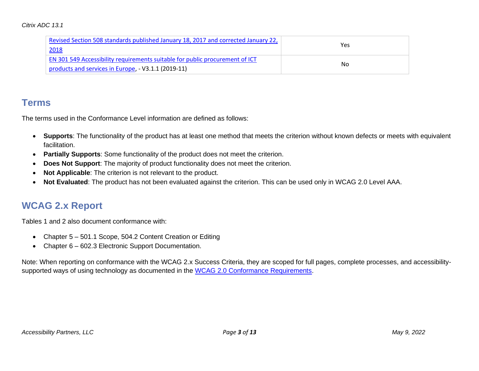| Revised Section 508 standards published January 18, 2017 and corrected January 22,  |     |
|-------------------------------------------------------------------------------------|-----|
| 2018                                                                                | Yes |
| <b>EN 301 549 Accessibility requirements suitable for public procurement of ICT</b> |     |
| products and services in Europe, - V3.1.1 (2019-11)                                 | No. |

### **Terms**

The terms used in the Conformance Level information are defined as follows:

- **Supports**: The functionality of the product has at least one method that meets the criterion without known defects or meets with equivalent facilitation.
- **Partially Supports**: Some functionality of the product does not meet the criterion.
- **Does Not Support**: The majority of product functionality does not meet the criterion.
- **Not Applicable**: The criterion is not relevant to the product.
- **Not Evaluated**: The product has not been evaluated against the criterion. This can be used only in WCAG 2.0 Level AAA.

## **WCAG 2.x Report**

Tables 1 and 2 also document conformance with:

- Chapter 5 501.1 Scope, 504.2 Content Creation or Editing
- Chapter 6 602.3 Electronic Support Documentation.

Note: When reporting on conformance with the WCAG 2.x Success Criteria, they are scoped for full pages, complete processes, and accessibility-supported ways of using technology as documented in the [WCAG 2.0 Conformance Requirements.](https://www.w3.org/TR/WCAG20/#conformance-reqs)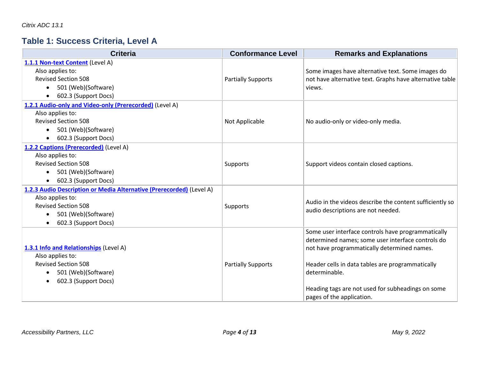## **Table 1: Success Criteria, Level A**

| <b>Criteria</b>                                                      | <b>Conformance Level</b>  | <b>Remarks and Explanations</b>                          |
|----------------------------------------------------------------------|---------------------------|----------------------------------------------------------|
| 1.1.1 Non-text Content (Level A)                                     |                           |                                                          |
| Also applies to:                                                     |                           | Some images have alternative text. Some images do        |
| <b>Revised Section 508</b>                                           | <b>Partially Supports</b> | not have alternative text. Graphs have alternative table |
| 501 (Web)(Software)<br>$\bullet$                                     |                           | views.                                                   |
| 602.3 (Support Docs)<br>٠                                            |                           |                                                          |
| 1.2.1 Audio-only and Video-only (Prerecorded) (Level A)              |                           |                                                          |
| Also applies to:                                                     |                           |                                                          |
| <b>Revised Section 508</b>                                           | Not Applicable            | No audio-only or video-only media.                       |
| 501 (Web)(Software)<br>$\bullet$                                     |                           |                                                          |
| 602.3 (Support Docs)<br>$\bullet$                                    |                           |                                                          |
| 1.2.2 Captions (Prerecorded) (Level A)                               |                           |                                                          |
| Also applies to:                                                     |                           |                                                          |
| <b>Revised Section 508</b>                                           | Supports                  | Support videos contain closed captions.                  |
| 501 (Web)(Software)<br>$\bullet$                                     |                           |                                                          |
| 602.3 (Support Docs)<br>٠                                            |                           |                                                          |
| 1.2.3 Audio Description or Media Alternative (Prerecorded) (Level A) |                           |                                                          |
| Also applies to:                                                     |                           | Audio in the videos describe the content sufficiently so |
| <b>Revised Section 508</b>                                           | Supports                  | audio descriptions are not needed.                       |
| 501 (Web)(Software)<br>$\bullet$                                     |                           |                                                          |
| 602.3 (Support Docs)<br>$\bullet$                                    |                           |                                                          |
|                                                                      |                           | Some user interface controls have programmatically       |
|                                                                      |                           | determined names; some user interface controls do        |
| 1.3.1 Info and Relationships (Level A)                               |                           | not have programmatically determined names.              |
| Also applies to:                                                     |                           |                                                          |
| <b>Revised Section 508</b>                                           | <b>Partially Supports</b> | Header cells in data tables are programmatically         |
| 501 (Web)(Software)<br>$\bullet$                                     |                           | determinable.                                            |
| 602.3 (Support Docs)<br>$\bullet$                                    |                           |                                                          |
|                                                                      |                           | Heading tags are not used for subheadings on some        |
|                                                                      |                           | pages of the application.                                |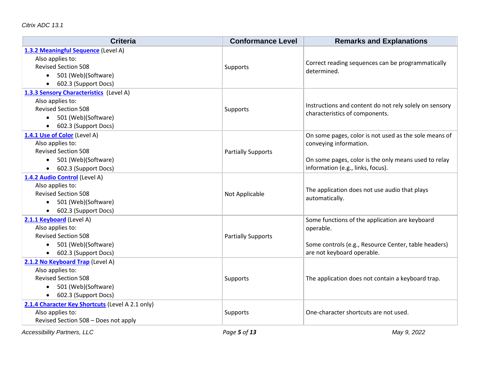| <b>Criteria</b>                                         | <b>Conformance Level</b>  | <b>Remarks and Explanations</b>                        |
|---------------------------------------------------------|---------------------------|--------------------------------------------------------|
| 1.3.2 Meaningful Sequence (Level A)<br>Also applies to: |                           |                                                        |
| <b>Revised Section 508</b>                              | <b>Supports</b>           | Correct reading sequences can be programmatically      |
| 501 (Web)(Software)                                     |                           | determined.                                            |
| 602.3 (Support Docs)                                    |                           |                                                        |
| 1.3.3 Sensory Characteristics (Level A)                 |                           |                                                        |
| Also applies to:                                        |                           |                                                        |
| <b>Revised Section 508</b>                              | <b>Supports</b>           | Instructions and content do not rely solely on sensory |
| 501 (Web)(Software)                                     |                           | characteristics of components.                         |
| 602.3 (Support Docs)<br>$\bullet$                       |                           |                                                        |
| 1.4.1 Use of Color (Level A)                            |                           | On some pages, color is not used as the sole means of  |
| Also applies to:                                        |                           | conveying information.                                 |
| <b>Revised Section 508</b>                              | <b>Partially Supports</b> |                                                        |
| 501 (Web)(Software)<br>$\bullet$                        |                           | On some pages, color is the only means used to relay   |
| 602.3 (Support Docs)                                    |                           | information (e.g., links, focus).                      |
| 1.4.2 Audio Control (Level A)                           |                           |                                                        |
| Also applies to:                                        |                           | The application does not use audio that plays          |
| <b>Revised Section 508</b>                              | Not Applicable            | automatically.                                         |
| 501 (Web)(Software)<br>$\bullet$                        |                           |                                                        |
| • 602.3 (Support Docs)                                  |                           |                                                        |
| 2.1.1 Keyboard (Level A)                                |                           | Some functions of the application are keyboard         |
| Also applies to:                                        |                           | operable.                                              |
| <b>Revised Section 508</b>                              | <b>Partially Supports</b> |                                                        |
| • 501 (Web)(Software)                                   |                           | Some controls (e.g., Resource Center, table headers)   |
| 602.3 (Support Docs)                                    |                           | are not keyboard operable.                             |
| 2.1.2 No Keyboard Trap (Level A)                        |                           |                                                        |
| Also applies to:                                        |                           |                                                        |
| <b>Revised Section 508</b>                              | <b>Supports</b>           | The application does not contain a keyboard trap.      |
| 501 (Web)(Software)<br>$\bullet$                        |                           |                                                        |
| • 602.3 (Support Docs)                                  |                           |                                                        |
| 2.1.4 Character Key Shortcuts (Level A 2.1 only)        |                           |                                                        |
| Also applies to:                                        | Supports                  | One-character shortcuts are not used.                  |
| Revised Section 508 - Does not apply                    |                           |                                                        |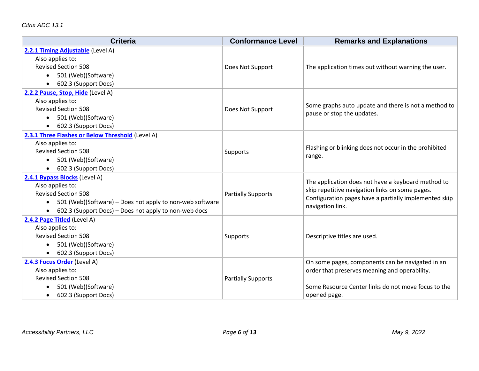| <b>Criteria</b>                                                                                                                                                                                      | <b>Conformance Level</b>  | <b>Remarks and Explanations</b>                                                                                                                                                    |
|------------------------------------------------------------------------------------------------------------------------------------------------------------------------------------------------------|---------------------------|------------------------------------------------------------------------------------------------------------------------------------------------------------------------------------|
| 2.2.1 Timing Adjustable (Level A)<br>Also applies to:<br><b>Revised Section 508</b><br>501 (Web)(Software)<br>602.3 (Support Docs)                                                                   | Does Not Support          | The application times out without warning the user.                                                                                                                                |
| 2.2.2 Pause, Stop, Hide (Level A)<br>Also applies to:<br><b>Revised Section 508</b><br>501 (Web)(Software)<br>602.3 (Support Docs)                                                                   | Does Not Support          | Some graphs auto update and there is not a method to<br>pause or stop the updates.                                                                                                 |
| 2.3.1 Three Flashes or Below Threshold (Level A)<br>Also applies to:<br><b>Revised Section 508</b><br>501 (Web)(Software)<br>602.3 (Support Docs)                                                    | Supports                  | Flashing or blinking does not occur in the prohibited<br>range.                                                                                                                    |
| 2.4.1 Bypass Blocks (Level A)<br>Also applies to:<br><b>Revised Section 508</b><br>501 (Web)(Software) – Does not apply to non-web software<br>602.3 (Support Docs) - Does not apply to non-web docs | <b>Partially Supports</b> | The application does not have a keyboard method to<br>skip repetitive navigation links on some pages.<br>Configuration pages have a partially implemented skip<br>navigation link. |
| 2.4.2 Page Titled (Level A)<br>Also applies to:<br><b>Revised Section 508</b><br>501 (Web)(Software)<br>602.3 (Support Docs)                                                                         | Supports                  | Descriptive titles are used.                                                                                                                                                       |
| 2.4.3 Focus Order (Level A)<br>Also applies to:<br><b>Revised Section 508</b><br>501 (Web)(Software)<br>602.3 (Support Docs)                                                                         | <b>Partially Supports</b> | On some pages, components can be navigated in an<br>order that preserves meaning and operability.<br>Some Resource Center links do not move focus to the<br>opened page.           |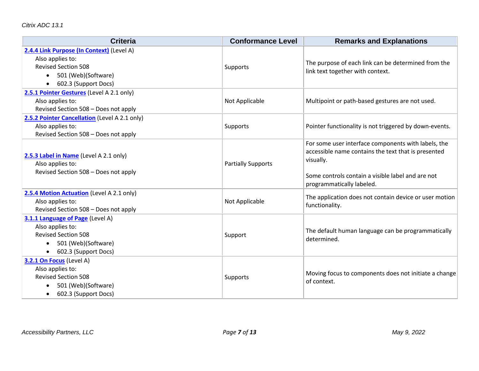| <b>Criteria</b>                                                                                                                            | <b>Conformance Level</b>  | <b>Remarks and Explanations</b>                                                                                                                                                                           |
|--------------------------------------------------------------------------------------------------------------------------------------------|---------------------------|-----------------------------------------------------------------------------------------------------------------------------------------------------------------------------------------------------------|
| 2.4.4 Link Purpose (In Context) (Level A)<br>Also applies to:<br><b>Revised Section 508</b><br>501 (Web)(Software)<br>602.3 (Support Docs) | Supports                  | The purpose of each link can be determined from the<br>link text together with context.                                                                                                                   |
| 2.5.1 Pointer Gestures (Level A 2.1 only)<br>Also applies to:<br>Revised Section 508 - Does not apply                                      | Not Applicable            | Multipoint or path-based gestures are not used.                                                                                                                                                           |
| 2.5.2 Pointer Cancellation (Level A 2.1 only)<br>Also applies to:<br>Revised Section 508 - Does not apply                                  | Supports                  | Pointer functionality is not triggered by down-events.                                                                                                                                                    |
| 2.5.3 Label in Name (Level A 2.1 only)<br>Also applies to:<br>Revised Section 508 - Does not apply                                         | <b>Partially Supports</b> | For some user interface components with labels, the<br>accessible name contains the text that is presented<br>visually.<br>Some controls contain a visible label and are not<br>programmatically labeled. |
| 2.5.4 Motion Actuation (Level A 2.1 only)<br>Also applies to:<br>Revised Section 508 - Does not apply                                      | Not Applicable            | The application does not contain device or user motion<br>functionality.                                                                                                                                  |
| 3.1.1 Language of Page (Level A)<br>Also applies to:<br><b>Revised Section 508</b><br>501 (Web)(Software)<br>602.3 (Support Docs)          | Support                   | The default human language can be programmatically<br>determined.                                                                                                                                         |
| 3.2.1 On Focus (Level A)<br>Also applies to:<br><b>Revised Section 508</b><br>501 (Web)(Software)<br>602.3 (Support Docs)                  | Supports                  | Moving focus to components does not initiate a change<br>of context.                                                                                                                                      |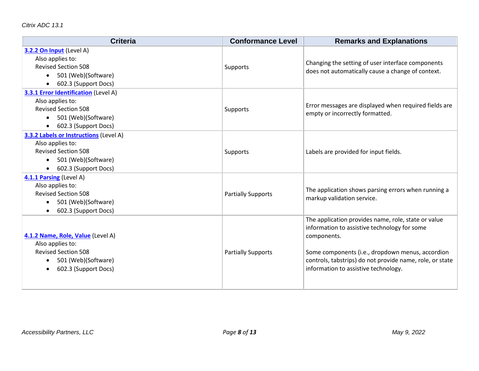| <b>Criteria</b>                                                                                                                                      | <b>Conformance Level</b>  | <b>Remarks and Explanations</b>                                                                                                                                                                                                                                            |
|------------------------------------------------------------------------------------------------------------------------------------------------------|---------------------------|----------------------------------------------------------------------------------------------------------------------------------------------------------------------------------------------------------------------------------------------------------------------------|
| 3.2.2 On Input (Level A)<br>Also applies to:<br><b>Revised Section 508</b><br>501 (Web)(Software)<br>$\bullet$<br>602.3 (Support Docs)               | Supports                  | Changing the setting of user interface components<br>does not automatically cause a change of context.                                                                                                                                                                     |
| 3.3.1 Error Identification (Level A)<br>Also applies to:<br><b>Revised Section 508</b><br>501 (Web)(Software)<br>602.3 (Support Docs)                | Supports                  | Error messages are displayed when required fields are<br>empty or incorrectly formatted.                                                                                                                                                                                   |
| 3.3.2 Labels or Instructions (Level A)<br>Also applies to:<br><b>Revised Section 508</b><br>501 (Web)(Software)<br>$\bullet$<br>602.3 (Support Docs) | Supports                  | Labels are provided for input fields.                                                                                                                                                                                                                                      |
| 4.1.1 Parsing (Level A)<br>Also applies to:<br><b>Revised Section 508</b><br>501 (Web)(Software)<br>602.3 (Support Docs)                             | <b>Partially Supports</b> | The application shows parsing errors when running a<br>markup validation service.                                                                                                                                                                                          |
| 4.1.2 Name, Role, Value (Level A)<br>Also applies to:<br><b>Revised Section 508</b><br>501 (Web)(Software)<br>$\bullet$<br>602.3 (Support Docs)      | <b>Partially Supports</b> | The application provides name, role, state or value<br>information to assistive technology for some<br>components.<br>Some components (i.e., dropdown menus, accordion<br>controls, tabstrips) do not provide name, role, or state<br>information to assistive technology. |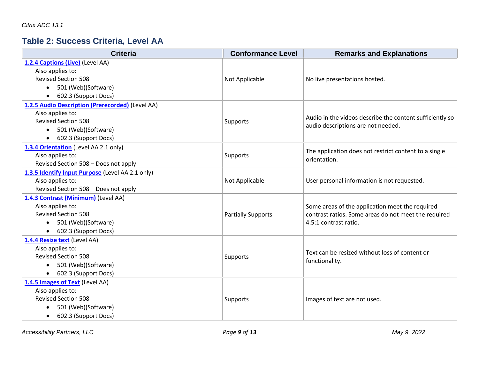## **Table 2: Success Criteria, Level AA**

| <b>Criteria</b>                                  | <b>Conformance Level</b>  | <b>Remarks and Explanations</b>                          |
|--------------------------------------------------|---------------------------|----------------------------------------------------------|
| 1.2.4 Captions (Live) (Level AA)                 |                           |                                                          |
| Also applies to:<br><b>Revised Section 508</b>   |                           |                                                          |
| 501 (Web)(Software)<br>$\bullet$                 | Not Applicable            | No live presentations hosted.                            |
| 602.3 (Support Docs)                             |                           |                                                          |
| $\bullet$                                        |                           |                                                          |
| 1.2.5 Audio Description (Prerecorded) (Level AA) |                           |                                                          |
| Also applies to:<br><b>Revised Section 508</b>   |                           | Audio in the videos describe the content sufficiently so |
|                                                  | Supports                  | audio descriptions are not needed.                       |
| 501 (Web)(Software)<br>$\bullet$                 |                           |                                                          |
| 602.3 (Support Docs)<br>$\bullet$                |                           |                                                          |
| 1.3.4 Orientation (Level AA 2.1 only)            |                           | The application does not restrict content to a single    |
| Also applies to:                                 | Supports                  | orientation.                                             |
| Revised Section 508 - Does not apply             |                           |                                                          |
| 1.3.5 Identify Input Purpose (Level AA 2.1 only) |                           |                                                          |
| Also applies to:                                 | Not Applicable            | User personal information is not requested.              |
| Revised Section 508 - Does not apply             |                           |                                                          |
| 1.4.3 Contrast (Minimum) (Level AA)              |                           |                                                          |
| Also applies to:                                 |                           | Some areas of the application meet the required          |
| <b>Revised Section 508</b>                       | <b>Partially Supports</b> | contrast ratios. Some areas do not meet the required     |
| 501 (Web)(Software)<br>$\bullet$                 |                           | 4.5:1 contrast ratio.                                    |
| 602.3 (Support Docs)<br>$\bullet$                |                           |                                                          |
| 1.4.4 Resize text (Level AA)                     |                           |                                                          |
| Also applies to:                                 |                           | Text can be resized without loss of content or           |
| <b>Revised Section 508</b>                       | Supports                  | functionality.                                           |
| 501 (Web)(Software)<br>$\bullet$                 |                           |                                                          |
| 602.3 (Support Docs)<br>$\bullet$                |                           |                                                          |
| 1.4.5 Images of Text (Level AA)                  |                           |                                                          |
| Also applies to:                                 |                           |                                                          |
| <b>Revised Section 508</b>                       | Supports                  | Images of text are not used.                             |
| 501 (Web)(Software)<br>$\bullet$                 |                           |                                                          |
| 602.3 (Support Docs)<br>$\bullet$                |                           |                                                          |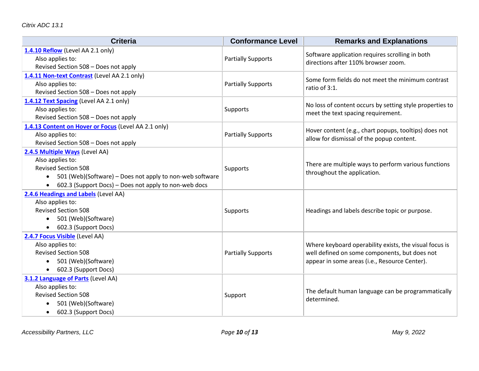| <b>Criteria</b>                                                                                                                                                                                                                 | <b>Conformance Level</b>  | <b>Remarks and Explanations</b>                                                                                                                          |
|---------------------------------------------------------------------------------------------------------------------------------------------------------------------------------------------------------------------------------|---------------------------|----------------------------------------------------------------------------------------------------------------------------------------------------------|
| 1.4.10 Reflow (Level AA 2.1 only)<br>Also applies to:<br>Revised Section 508 - Does not apply                                                                                                                                   | <b>Partially Supports</b> | Software application requires scrolling in both<br>directions after 110% browser zoom.                                                                   |
| 1.4.11 Non-text Contrast (Level AA 2.1 only)<br>Also applies to:<br>Revised Section 508 - Does not apply                                                                                                                        | <b>Partially Supports</b> | Some form fields do not meet the minimum contrast<br>ratio of 3:1.                                                                                       |
| 1.4.12 Text Spacing (Level AA 2.1 only)<br>Also applies to:<br>Revised Section 508 - Does not apply                                                                                                                             | Supports                  | No loss of content occurs by setting style properties to<br>meet the text spacing requirement.                                                           |
| 1.4.13 Content on Hover or Focus (Level AA 2.1 only)<br>Also applies to:<br>Revised Section 508 - Does not apply                                                                                                                | <b>Partially Supports</b> | Hover content (e.g., chart popups, tooltips) does not<br>allow for dismissal of the popup content.                                                       |
| 2.4.5 Multiple Ways (Level AA)<br>Also applies to:<br><b>Revised Section 508</b><br>501 (Web)(Software) - Does not apply to non-web software<br>$\bullet$<br>602.3 (Support Docs) - Does not apply to non-web docs<br>$\bullet$ | Supports                  | There are multiple ways to perform various functions<br>throughout the application.                                                                      |
| 2.4.6 Headings and Labels (Level AA)<br>Also applies to:<br><b>Revised Section 508</b><br>501 (Web)(Software)<br>602.3 (Support Docs)                                                                                           | Supports                  | Headings and labels describe topic or purpose.                                                                                                           |
| 2.4.7 Focus Visible (Level AA)<br>Also applies to:<br><b>Revised Section 508</b><br>501 (Web)(Software)<br>$\bullet$<br>602.3 (Support Docs)<br>$\bullet$                                                                       | <b>Partially Supports</b> | Where keyboard operability exists, the visual focus is<br>well defined on some components, but does not<br>appear in some areas (i.e., Resource Center). |
| 3.1.2 Language of Parts (Level AA)<br>Also applies to:<br><b>Revised Section 508</b><br>501 (Web)(Software)<br>602.3 (Support Docs)<br>$\bullet$                                                                                | Support                   | The default human language can be programmatically<br>determined.                                                                                        |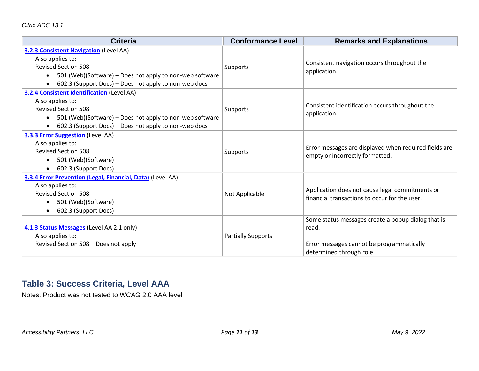| <b>Criteria</b>                                                                                                                                                                                                                                    | <b>Conformance Level</b>  | <b>Remarks and Explanations</b>                                                                                                      |
|----------------------------------------------------------------------------------------------------------------------------------------------------------------------------------------------------------------------------------------------------|---------------------------|--------------------------------------------------------------------------------------------------------------------------------------|
| <b>3.2.3 Consistent Navigation</b> (Level AA)<br>Also applies to:<br><b>Revised Section 508</b><br>501 (Web)(Software) – Does not apply to non-web software<br>$\bullet$<br>602.3 (Support Docs) – Does not apply to non-web docs<br>$\bullet$     | Supports                  | Consistent navigation occurs throughout the<br>application.                                                                          |
| <b>3.2.4 Consistent Identification</b> (Level AA)<br>Also applies to:<br><b>Revised Section 508</b><br>501 (Web)(Software) – Does not apply to non-web software<br>$\bullet$<br>602.3 (Support Docs) - Does not apply to non-web docs<br>$\bullet$ | Supports                  | Consistent identification occurs throughout the<br>application.                                                                      |
| <b>3.3.3 Error Suggestion (Level AA)</b><br>Also applies to:<br><b>Revised Section 508</b><br>501 (Web)(Software)<br>$\bullet$<br>602.3 (Support Docs)<br>$\bullet$                                                                                | Supports                  | Error messages are displayed when required fields are<br>empty or incorrectly formatted.                                             |
| 3.3.4 Error Prevention (Legal, Financial, Data) (Level AA)<br>Also applies to:<br><b>Revised Section 508</b><br>501 (Web)(Software)<br>$\bullet$<br>602.3 (Support Docs)<br>$\bullet$                                                              | Not Applicable            | Application does not cause legal commitments or<br>financial transactions to occur for the user.                                     |
| 4.1.3 Status Messages (Level AA 2.1 only)<br>Also applies to:<br>Revised Section 508 - Does not apply                                                                                                                                              | <b>Partially Supports</b> | Some status messages create a popup dialog that is<br>read.<br>Error messages cannot be programmatically<br>determined through role. |

### **Table 3: Success Criteria, Level AAA**

Notes: Product was not tested to WCAG 2.0 AAA level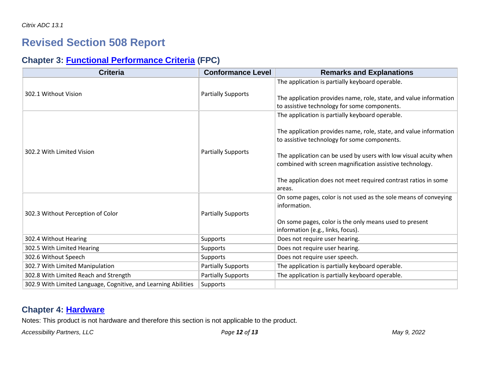# **Revised Section 508 Report**

## **Chapter 3: [Functional Performance Criteria](https://www.access-board.gov/guidelines-and-standards/communications-and-it/about-the-ict-refresh/final-rule/text-of-the-standards-and-guidelines#302-functional-performance-criteria) (FPC)**

| <b>Criteria</b>                                                | <b>Conformance Level</b>  | <b>Remarks and Explanations</b>                                                                                              |
|----------------------------------------------------------------|---------------------------|------------------------------------------------------------------------------------------------------------------------------|
|                                                                |                           | The application is partially keyboard operable.                                                                              |
| 302.1 Without Vision                                           | <b>Partially Supports</b> | The application provides name, role, state, and value information                                                            |
|                                                                |                           | to assistive technology for some components.                                                                                 |
|                                                                |                           | The application is partially keyboard operable.                                                                              |
| 302.2 With Limited Vision                                      |                           | The application provides name, role, state, and value information<br>to assistive technology for some components.            |
|                                                                | <b>Partially Supports</b> | The application can be used by users with low visual acuity when<br>combined with screen magnification assistive technology. |
|                                                                |                           | The application does not meet required contrast ratios in some                                                               |
|                                                                |                           | areas.                                                                                                                       |
|                                                                |                           | On some pages, color is not used as the sole means of conveying<br>information.                                              |
| 302.3 Without Perception of Color                              | <b>Partially Supports</b> |                                                                                                                              |
|                                                                |                           | On some pages, color is the only means used to present<br>information (e.g., links, focus).                                  |
| 302.4 Without Hearing                                          | <b>Supports</b>           | Does not require user hearing.                                                                                               |
|                                                                |                           |                                                                                                                              |
| 302.5 With Limited Hearing                                     | Supports                  | Does not require user hearing.                                                                                               |
| 302.6 Without Speech                                           | <b>Supports</b>           | Does not require user speech.                                                                                                |
| 302.7 With Limited Manipulation                                | <b>Partially Supports</b> | The application is partially keyboard operable.                                                                              |
| 302.8 With Limited Reach and Strength                          | <b>Partially Supports</b> | The application is partially keyboard operable.                                                                              |
| 302.9 With Limited Language, Cognitive, and Learning Abilities | Supports                  |                                                                                                                              |

### **Chapter 4: [Hardware](https://www.access-board.gov/guidelines-and-standards/communications-and-it/about-the-ict-refresh/final-rule/text-of-the-standards-and-guidelines#401-general)**

Notes: This product is not hardware and therefore this section is not applicable to the product.

*Accessibility Partners, LLC Page 12 of 13 May 9, 2022*